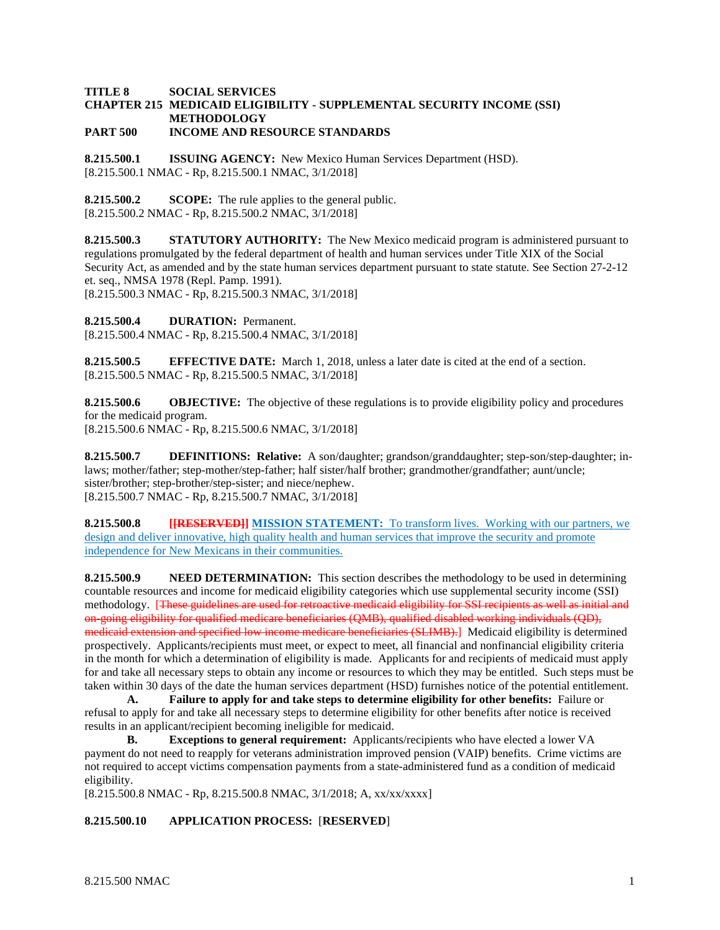#### **TITLE 8 SOCIAL SERVICES CHAPTER 215 MEDICAID ELIGIBILITY - SUPPLEMENTAL SECURITY INCOME (SSI) METHODOLOGY PART 500 INCOME AND RESOURCE STANDARDS**

**8.215.500.1 ISSUING AGENCY:** New Mexico Human Services Department (HSD). [8.215.500.1 NMAC - Rp, 8.215.500.1 NMAC, 3/1/2018]

**8.215.500.2 SCOPE:** The rule applies to the general public. [8.215.500.2 NMAC - Rp, 8.215.500.2 NMAC, 3/1/2018]

**8.215.500.3 STATUTORY AUTHORITY:** The New Mexico medicaid program is administered pursuant to regulations promulgated by the federal department of health and human services under Title XIX of the Social Security Act, as amended and by the state human services department pursuant to state statute. See Section 27-2-12 et. seq., NMSA 1978 (Repl. Pamp. 1991).

[8.215.500.3 NMAC - Rp, 8.215.500.3 NMAC, 3/1/2018]

**8.215.500.4 DURATION:** Permanent.

[8.215.500.4 NMAC - Rp, 8.215.500.4 NMAC, 3/1/2018]

**8.215.500.5 EFFECTIVE DATE:** March 1, 2018, unless a later date is cited at the end of a section. [8.215.500.5 NMAC - Rp, 8.215.500.5 NMAC, 3/1/2018]

**8.215.500.6 OBJECTIVE:** The objective of these regulations is to provide eligibility policy and procedures for the medicaid program.

[8.215.500.6 NMAC - Rp, 8.215.500.6 NMAC, 3/1/2018]

**8.215.500.7 DEFINITIONS: Relative:** A son/daughter; grandson/granddaughter; step-son/step-daughter; inlaws; mother/father; step-mother/step-father; half sister/half brother; grandmother/grandfather; aunt/uncle; sister/brother; step-brother/step-sister; and niece/nephew. [8.215.500.7 NMAC - Rp, 8.215.500.7 NMAC, 3/1/2018]

**8.215.500.8 [[RESERVED]] MISSION STATEMENT:** To transform lives. Working with our partners, we design and deliver innovative, high quality health and human services that improve the security and promote independence for New Mexicans in their communities.

**8.215.500.9 NEED DETERMINATION:** This section describes the methodology to be used in determining countable resources and income for medicaid eligibility categories which use supplemental security income (SSI) methodology. [These guidelines are used for retroactive medicaid eligibility for SSI recipients as well as initial and on-going eligibility for qualified medicare beneficiaries (QMB), qualified disabled working individuals (QD), medicaid extension and specified low income medicare beneficiaries (SLIMB).] Medicaid eligibility is determined prospectively. Applicants/recipients must meet, or expect to meet, all financial and nonfinancial eligibility criteria in the month for which a determination of eligibility is made. Applicants for and recipients of medicaid must apply for and take all necessary steps to obtain any income or resources to which they may be entitled. Such steps must be taken within 30 days of the date the human services department (HSD) furnishes notice of the potential entitlement.

**A. Failure to apply for and take steps to determine eligibility for other benefits:** Failure or refusal to apply for and take all necessary steps to determine eligibility for other benefits after notice is received results in an applicant/recipient becoming ineligible for medicaid.<br> **B.** Exceptions to general requirement: Applican

**B. Exceptions to general requirement:** Applicants/recipients who have elected a lower VA payment do not need to reapply for veterans administration improved pension (VAIP) benefits. Crime victims are not required to accept victims compensation payments from a state-administered fund as a condition of medicaid eligibility.

[8.215.500.8 NMAC - Rp, 8.215.500.8 NMAC, 3/1/2018; A, xx/xx/xxxx]

# **8.215.500.10 APPLICATION PROCESS:** [**RESERVED**]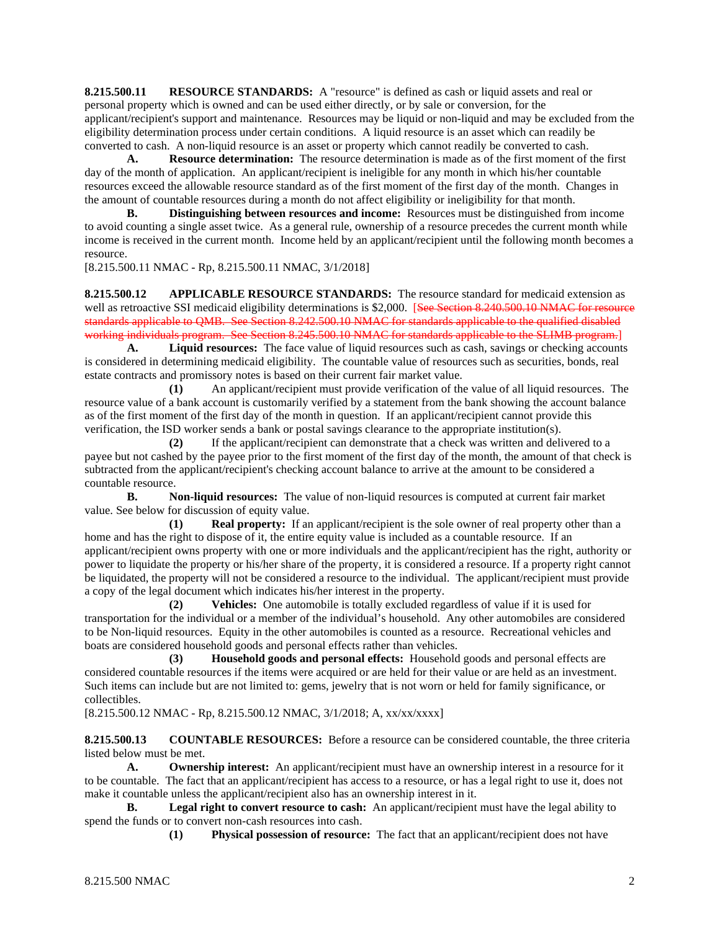**8.215.500.11 RESOURCE STANDARDS:** A "resource" is defined as cash or liquid assets and real or personal property which is owned and can be used either directly, or by sale or conversion, for the applicant/recipient's support and maintenance. Resources may be liquid or non-liquid and may be excluded from the eligibility determination process under certain conditions. A liquid resource is an asset which can readily be converted to cash. A non-liquid resource is an asset or property which cannot readily be converted to cash.

**A. Resource determination:** The resource determination is made as of the first moment of the first day of the month of application. An applicant/recipient is ineligible for any month in which his/her countable resources exceed the allowable resource standard as of the first moment of the first day of the month. Changes in the amount of countable resources during a month do not affect eligibility or ineligibility for that month.

**B. Distinguishing between resources and income:** Resources must be distinguished from income to avoid counting a single asset twice. As a general rule, ownership of a resource precedes the current month while income is received in the current month. Income held by an applicant/recipient until the following month becomes a resource.

[8.215.500.11 NMAC - Rp, 8.215.500.11 NMAC, 3/1/2018]

**8.215.500.12 APPLICABLE RESOURCE STANDARDS:** The resource standard for medicaid extension as well as retroactive SSI medicaid eligibility determinations is \$2,000. [See Section 8.240.500.10 NMAC for resource standards applicable to QMB. See Section 8.242.500.10 NMAC for standards applicable to the qualified disabled working individuals program. See Section 8.245.500.10 NMAC for standards applicable to the SLIMB program.]

**A. Liquid resources:** The face value of liquid resources such as cash, savings or checking accounts is considered in determining medicaid eligibility. The countable value of resources such as securities, bonds, real estate contracts and promissory notes is based on their current fair market value.

**(1)** An applicant/recipient must provide verification of the value of all liquid resources. The resource value of a bank account is customarily verified by a statement from the bank showing the account balance as of the first moment of the first day of the month in question. If an applicant/recipient cannot provide this verification, the ISD worker sends a bank or postal savings clearance to the appropriate institution(s).

**(2)** If the applicant/recipient can demonstrate that a check was written and delivered to a payee but not cashed by the payee prior to the first moment of the first day of the month, the amount of that check is subtracted from the applicant/recipient's checking account balance to arrive at the amount to be considered a countable resource.

**B. Non-liquid resources:** The value of non-liquid resources is computed at current fair market value. See below for discussion of equity value.

**(1) Real property:** If an applicant/recipient is the sole owner of real property other than a home and has the right to dispose of it, the entire equity value is included as a countable resource. If an applicant/recipient owns property with one or more individuals and the applicant/recipient has the right, authority or power to liquidate the property or his/her share of the property, it is considered a resource. If a property right cannot be liquidated, the property will not be considered a resource to the individual. The applicant/recipient must provide a copy of the legal document which indicates his/her interest in the property.

**(2) Vehicles:** One automobile is totally excluded regardless of value if it is used for transportation for the individual or a member of the individual's household. Any other automobiles are considered to be Non-liquid resources. Equity in the other automobiles is counted as a resource. Recreational vehicles and boats are considered household goods and personal effects rather than vehicles.

**(3) Household goods and personal effects:** Household goods and personal effects are considered countable resources if the items were acquired or are held for their value or are held as an investment. Such items can include but are not limited to: gems, jewelry that is not worn or held for family significance, or collectibles.

[8.215.500.12 NMAC - Rp, 8.215.500.12 NMAC, 3/1/2018; A, xx/xx/xxxx]

**8.215.500.13 COUNTABLE RESOURCES:** Before a resource can be considered countable, the three criteria listed below must be met.

**A. Ownership interest:** An applicant/recipient must have an ownership interest in a resource for it to be countable. The fact that an applicant/recipient has access to a resource, or has a legal right to use it, does not make it countable unless the applicant/recipient also has an ownership interest in it.

**B. Legal right to convert resource to cash:** An applicant/recipient must have the legal ability to spend the funds or to convert non-cash resources into cash.

**(1) Physical possession of resource:** The fact that an applicant/recipient does not have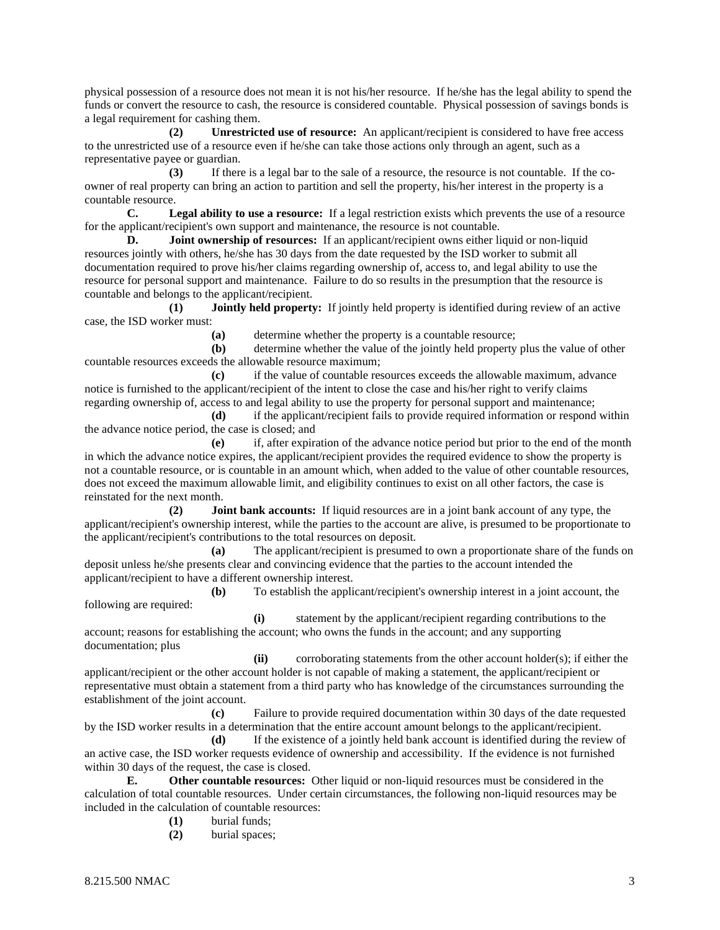physical possession of a resource does not mean it is not his/her resource. If he/she has the legal ability to spend the funds or convert the resource to cash, the resource is considered countable. Physical possession of savings bonds is a legal requirement for cashing them.

**(2) Unrestricted use of resource:** An applicant/recipient is considered to have free access to the unrestricted use of a resource even if he/she can take those actions only through an agent, such as a representative payee or guardian.

**(3)** If there is a legal bar to the sale of a resource, the resource is not countable. If the coowner of real property can bring an action to partition and sell the property, his/her interest in the property is a countable resource.

**C. Legal ability to use a resource:** If a legal restriction exists which prevents the use of a resource for the applicant/recipient's own support and maintenance, the resource is not countable.

**D. Joint ownership of resources:** If an applicant/recipient owns either liquid or non-liquid resources jointly with others, he/she has 30 days from the date requested by the ISD worker to submit all documentation required to prove his/her claims regarding ownership of, access to, and legal ability to use the resource for personal support and maintenance. Failure to do so results in the presumption that the resource is countable and belongs to the applicant/recipient.

**(1) Jointly held property:** If jointly held property is identified during review of an active case, the ISD worker must:

**(a)** determine whether the property is a countable resource;

**(b)** determine whether the value of the jointly held property plus the value of other countable resources exceeds the allowable resource maximum;

**(c)** if the value of countable resources exceeds the allowable maximum, advance notice is furnished to the applicant/recipient of the intent to close the case and his/her right to verify claims regarding ownership of, access to and legal ability to use the property for personal support and maintenance;

**(d)** if the applicant/recipient fails to provide required information or respond within the advance notice period, the case is closed; and

**(e)** if, after expiration of the advance notice period but prior to the end of the month in which the advance notice expires, the applicant/recipient provides the required evidence to show the property is not a countable resource, or is countable in an amount which, when added to the value of other countable resources, does not exceed the maximum allowable limit, and eligibility continues to exist on all other factors, the case is reinstated for the next month.

**(2) Joint bank accounts:** If liquid resources are in a joint bank account of any type, the applicant/recipient's ownership interest, while the parties to the account are alive, is presumed to be proportionate to the applicant/recipient's contributions to the total resources on deposit.

**(a)** The applicant/recipient is presumed to own a proportionate share of the funds on deposit unless he/she presents clear and convincing evidence that the parties to the account intended the applicant/recipient to have a different ownership interest.

**(b)** To establish the applicant/recipient's ownership interest in a joint account, the following are required:

**(i)** statement by the applicant/recipient regarding contributions to the account; reasons for establishing the account; who owns the funds in the account; and any supporting documentation; plus

**(ii)** corroborating statements from the other account holder(s); if either the applicant/recipient or the other account holder is not capable of making a statement, the applicant/recipient or representative must obtain a statement from a third party who has knowledge of the circumstances surrounding the establishment of the joint account.

**(c)** Failure to provide required documentation within 30 days of the date requested by the ISD worker results in a determination that the entire account amount belongs to the applicant/recipient.

**(d)** If the existence of a jointly held bank account is identified during the review of an active case, the ISD worker requests evidence of ownership and accessibility. If the evidence is not furnished within 30 days of the request, the case is closed.

**E. Other countable resources:** Other liquid or non-liquid resources must be considered in the calculation of total countable resources. Under certain circumstances, the following non-liquid resources may be included in the calculation of countable resources:

- **(1)** burial funds;
- **(2)** burial spaces;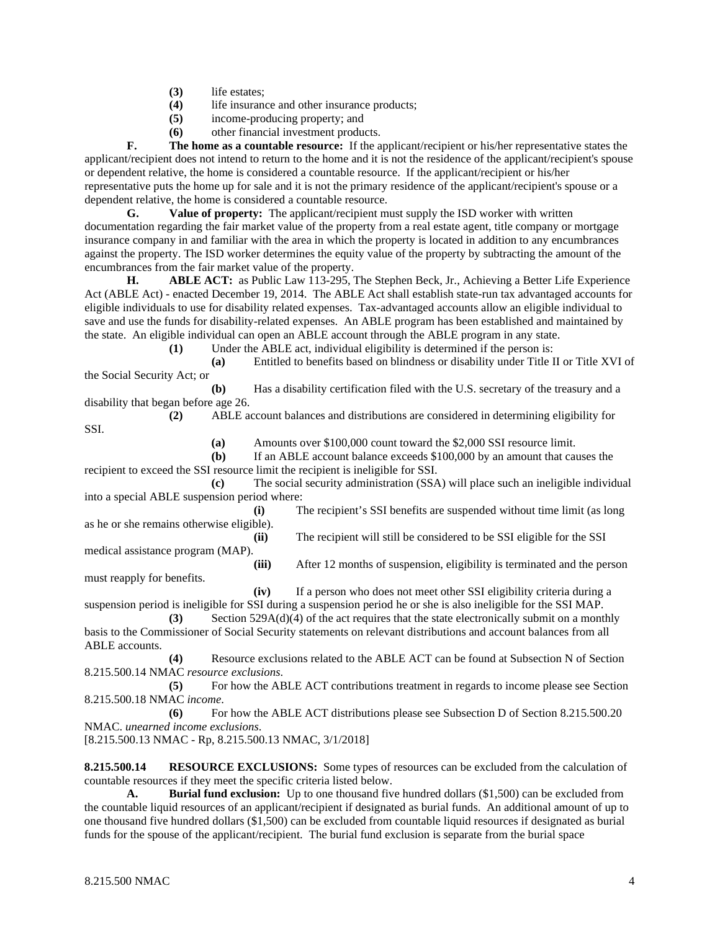- **(3)** life estates;
- **(4)** life insurance and other insurance products;
- **(5)** income-producing property; and
- **(6)** other financial investment products.

**F.** The home as a countable resource: If the applicant/recipient or his/her representative states the applicant/recipient does not intend to return to the home and it is not the residence of the applicant/recipient's spouse or dependent relative, the home is considered a countable resource. If the applicant/recipient or his/her representative puts the home up for sale and it is not the primary residence of the applicant/recipient's spouse or a dependent relative, the home is considered a countable resource.

**G. Value of property:** The applicant/recipient must supply the ISD worker with written documentation regarding the fair market value of the property from a real estate agent, title company or mortgage insurance company in and familiar with the area in which the property is located in addition to any encumbrances against the property. The ISD worker determines the equity value of the property by subtracting the amount of the encumbrances from the fair market value of the property.

**H. ABLE ACT:** as Public Law 113-295, The Stephen Beck, Jr., Achieving a Better Life Experience Act (ABLE Act) - enacted December 19, 2014. The ABLE Act shall establish state-run tax advantaged accounts for eligible individuals to use for disability related expenses. Tax-advantaged accounts allow an eligible individual to save and use the funds for disability-related expenses. An ABLE program has been established and maintained by the state. An eligible individual can open an ABLE account through the ABLE program in any state.

**(1)** Under the ABLE act, individual eligibility is determined if the person is:

**(a)** Entitled to benefits based on blindness or disability under Title II or Title XVI of the Social Security Act; or

**(b)** Has a disability certification filed with the U.S. secretary of the treasury and a disability that began before age 26.

**(2)** ABLE account balances and distributions are considered in determining eligibility for

SSI.

**(a)** Amounts over \$100,000 count toward the \$2,000 SSI resource limit.

**(b)** If an ABLE account balance exceeds \$100,000 by an amount that causes the recipient to exceed the SSI resource limit the recipient is ineligible for SSI.

**(c)** The social security administration (SSA) will place such an ineligible individual into a special ABLE suspension period where:

**(i)** The recipient's SSI benefits are suspended without time limit (as long as he or she remains otherwise eligible). **(ii)** The recipient will still be considered to be SSI eligible for the SSI

medical assistance program (MAP).

**(iii)** After 12 months of suspension, eligibility is terminated and the person must reapply for benefits.

**(iv)** If a person who does not meet other SSI eligibility criteria during a suspension period is ineligible for SSI during a suspension period he or she is also ineligible for the SSI MAP.

**(3)** Section 529A(d)(4) of the act requires that the state electronically submit on a monthly basis to the Commissioner of Social Security statements on relevant distributions and account balances from all ABLE accounts.

**(4)** Resource exclusions related to the ABLE ACT can be found at Subsection N of Section 8.215.500.14 NMAC *resource exclusions*.

**(5)** For how the ABLE ACT contributions treatment in regards to income please see Section 8.215.500.18 NMAC *income*.

**(6)** For how the ABLE ACT distributions please see Subsection D of Section 8.215.500.20 NMAC. *unearned income exclusions*.

[8.215.500.13 NMAC - Rp, 8.215.500.13 NMAC, 3/1/2018]

**8.215.500.14 RESOURCE EXCLUSIONS:** Some types of resources can be excluded from the calculation of countable resources if they meet the specific criteria listed below.

**A. Burial fund exclusion:** Up to one thousand five hundred dollars (\$1,500) can be excluded from the countable liquid resources of an applicant/recipient if designated as burial funds. An additional amount of up to one thousand five hundred dollars (\$1,500) can be excluded from countable liquid resources if designated as burial funds for the spouse of the applicant/recipient. The burial fund exclusion is separate from the burial space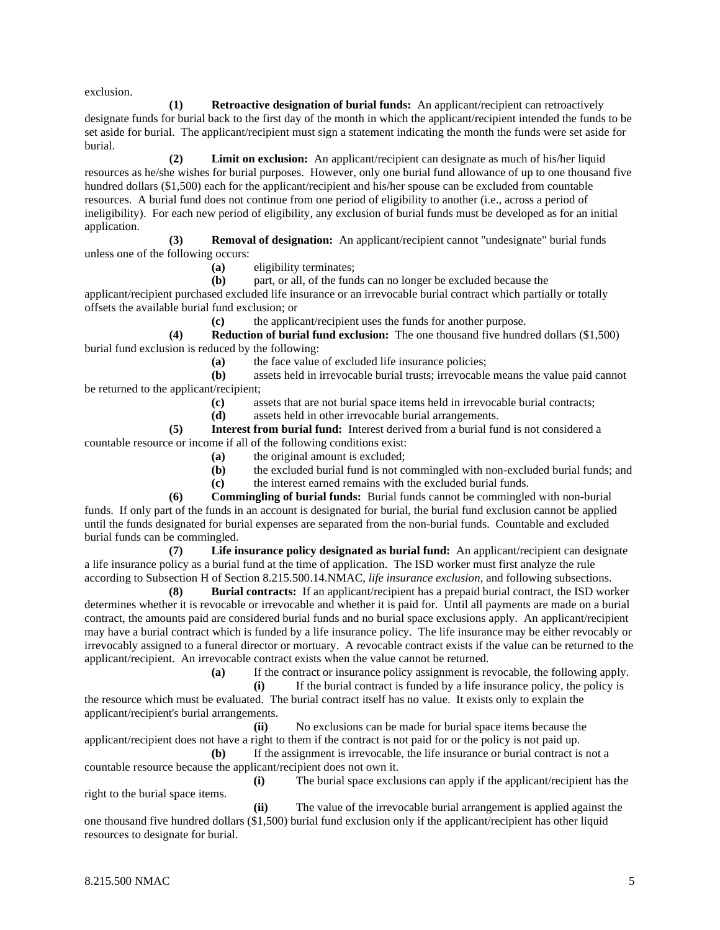exclusion.

**(1) Retroactive designation of burial funds:** An applicant/recipient can retroactively designate funds for burial back to the first day of the month in which the applicant/recipient intended the funds to be set aside for burial. The applicant/recipient must sign a statement indicating the month the funds were set aside for burial.

**(2) Limit on exclusion:** An applicant/recipient can designate as much of his/her liquid resources as he/she wishes for burial purposes. However, only one burial fund allowance of up to one thousand five hundred dollars (\$1,500) each for the applicant/recipient and his/her spouse can be excluded from countable resources. A burial fund does not continue from one period of eligibility to another (i.e., across a period of ineligibility). For each new period of eligibility, any exclusion of burial funds must be developed as for an initial application.

**(3) Removal of designation:** An applicant/recipient cannot "undesignate" burial funds unless one of the following occurs:

**(a)** eligibility terminates;

**(b)** part, or all, of the funds can no longer be excluded because the applicant/recipient purchased excluded life insurance or an irrevocable burial contract which partially or totally offsets the available burial fund exclusion; or

**(c)** the applicant/recipient uses the funds for another purpose.

**(4) Reduction of burial fund exclusion:** The one thousand five hundred dollars (\$1,500) burial fund exclusion is reduced by the following:

**(a)** the face value of excluded life insurance policies;

**(b)** assets held in irrevocable burial trusts; irrevocable means the value paid cannot be returned to the applicant/recipient;

**(c)** assets that are not burial space items held in irrevocable burial contracts;

**(d)** assets held in other irrevocable burial arrangements.

**(5) Interest from burial fund:** Interest derived from a burial fund is not considered a countable resource or income if all of the following conditions exist:

- **(a)** the original amount is excluded;
- **(b)** the excluded burial fund is not commingled with non-excluded burial funds; and
- **(c)** the interest earned remains with the excluded burial funds.

**(6) Commingling of burial funds:** Burial funds cannot be commingled with non-burial funds. If only part of the funds in an account is designated for burial, the burial fund exclusion cannot be applied until the funds designated for burial expenses are separated from the non-burial funds. Countable and excluded burial funds can be commingled.

**(7) Life insurance policy designated as burial fund:** An applicant/recipient can designate a life insurance policy as a burial fund at the time of application. The ISD worker must first analyze the rule according to Subsection H of Section 8.215.500.14.NMAC, *life insurance exclusion*, and following subsections.

**(8) Burial contracts:** If an applicant/recipient has a prepaid burial contract, the ISD worker determines whether it is revocable or irrevocable and whether it is paid for. Until all payments are made on a burial contract, the amounts paid are considered burial funds and no burial space exclusions apply. An applicant/recipient may have a burial contract which is funded by a life insurance policy. The life insurance may be either revocably or irrevocably assigned to a funeral director or mortuary. A revocable contract exists if the value can be returned to the applicant/recipient. An irrevocable contract exists when the value cannot be returned.

**(a)** If the contract or insurance policy assignment is revocable, the following apply.

**(i)** If the burial contract is funded by a life insurance policy, the policy is the resource which must be evaluated. The burial contract itself has no value. It exists only to explain the applicant/recipient's burial arrangements.

**(ii)** No exclusions can be made for burial space items because the applicant/recipient does not have a right to them if the contract is not paid for or the policy is not paid up.

**(b)** If the assignment is irrevocable, the life insurance or burial contract is not a countable resource because the applicant/recipient does not own it.

**(i)** The burial space exclusions can apply if the applicant/recipient has the right to the burial space items.

**(ii)** The value of the irrevocable burial arrangement is applied against the one thousand five hundred dollars (\$1,500) burial fund exclusion only if the applicant/recipient has other liquid resources to designate for burial.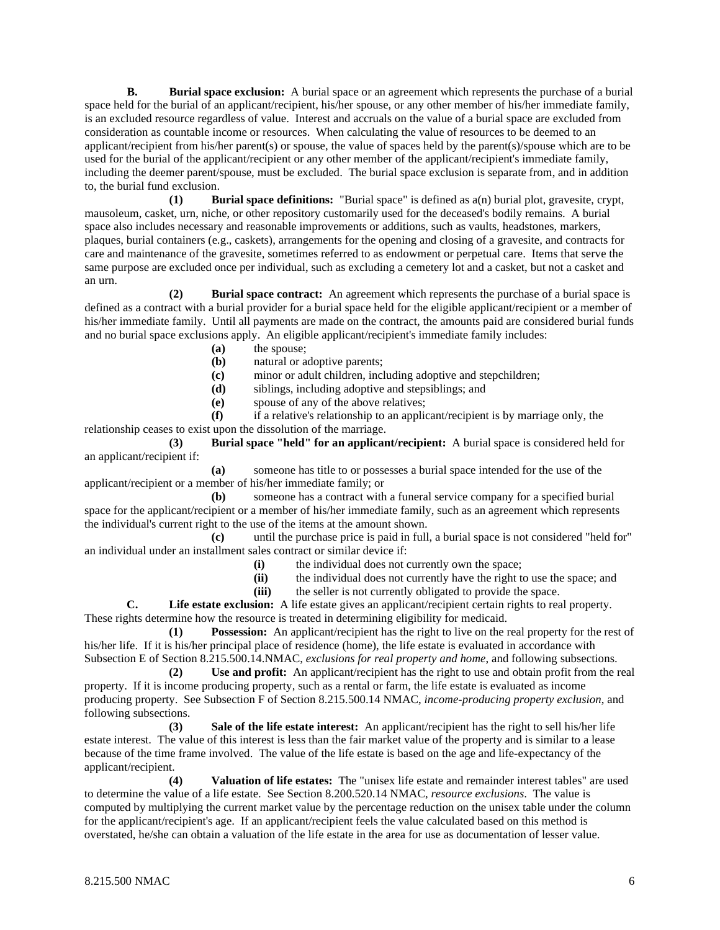**B. Burial space exclusion:** A burial space or an agreement which represents the purchase of a burial space held for the burial of an applicant/recipient, his/her spouse, or any other member of his/her immediate family, is an excluded resource regardless of value. Interest and accruals on the value of a burial space are excluded from consideration as countable income or resources. When calculating the value of resources to be deemed to an applicant/recipient from his/her parent(s) or spouse, the value of spaces held by the parent(s)/spouse which are to be used for the burial of the applicant/recipient or any other member of the applicant/recipient's immediate family, including the deemer parent/spouse, must be excluded. The burial space exclusion is separate from, and in addition to, the burial fund exclusion.

**(1) Burial space definitions:** "Burial space" is defined as a(n) burial plot, gravesite, crypt, mausoleum, casket, urn, niche, or other repository customarily used for the deceased's bodily remains. A burial space also includes necessary and reasonable improvements or additions, such as vaults, headstones, markers, plaques, burial containers (e.g., caskets), arrangements for the opening and closing of a gravesite, and contracts for care and maintenance of the gravesite, sometimes referred to as endowment or perpetual care. Items that serve the same purpose are excluded once per individual, such as excluding a cemetery lot and a casket, but not a casket and an urn.

**Burial space contract:** An agreement which represents the purchase of a burial space is defined as a contract with a burial provider for a burial space held for the eligible applicant/recipient or a member of his/her immediate family. Until all payments are made on the contract, the amounts paid are considered burial funds and no burial space exclusions apply. An eligible applicant/recipient's immediate family includes:

- **(a)** the spouse;
- **(b)** natural or adoptive parents;
- **(c)** minor or adult children, including adoptive and stepchildren;
- **(d)** siblings, including adoptive and stepsiblings; and
- **(e)** spouse of any of the above relatives;

**(f)** if a relative's relationship to an applicant/recipient is by marriage only, the relationship ceases to exist upon the dissolution of the marriage.

**(3) Burial space "held" for an applicant/recipient:** A burial space is considered held for an applicant/recipient if:

**(a)** someone has title to or possesses a burial space intended for the use of the applicant/recipient or a member of his/her immediate family; or

**(b)** someone has a contract with a funeral service company for a specified burial space for the applicant/recipient or a member of his/her immediate family, such as an agreement which represents the individual's current right to the use of the items at the amount shown.

**(c)** until the purchase price is paid in full, a burial space is not considered "held for" an individual under an installment sales contract or similar device if:

- **(i)** the individual does not currently own the space;
- **(ii)** the individual does not currently have the right to use the space; and
- **(iii)** the seller is not currently obligated to provide the space.

**C. Life estate exclusion:** A life estate gives an applicant/recipient certain rights to real property.

These rights determine how the resource is treated in determining eligibility for medicaid.

**(1) Possession:** An applicant/recipient has the right to live on the real property for the rest of his/her life. If it is his/her principal place of residence (home), the life estate is evaluated in accordance with Subsection E of Section 8.215.500.14.NMAC, *exclusions for real property and home*, and following subsections.

**(2) Use and profit:** An applicant/recipient has the right to use and obtain profit from the real property. If it is income producing property, such as a rental or farm, the life estate is evaluated as income producing property. See Subsection F of Section 8.215.500.14 NMAC, *income-producing property exclusion*, and following subsections.

**(3) Sale of the life estate interest:** An applicant/recipient has the right to sell his/her life estate interest. The value of this interest is less than the fair market value of the property and is similar to a lease because of the time frame involved. The value of the life estate is based on the age and life-expectancy of the applicant/recipient.

**(4) Valuation of life estates:** The "unisex life estate and remainder interest tables" are used to determine the value of a life estate. See Section 8.200.520.14 NMAC, *resource exclusions*. The value is computed by multiplying the current market value by the percentage reduction on the unisex table under the column for the applicant/recipient's age. If an applicant/recipient feels the value calculated based on this method is overstated, he/she can obtain a valuation of the life estate in the area for use as documentation of lesser value.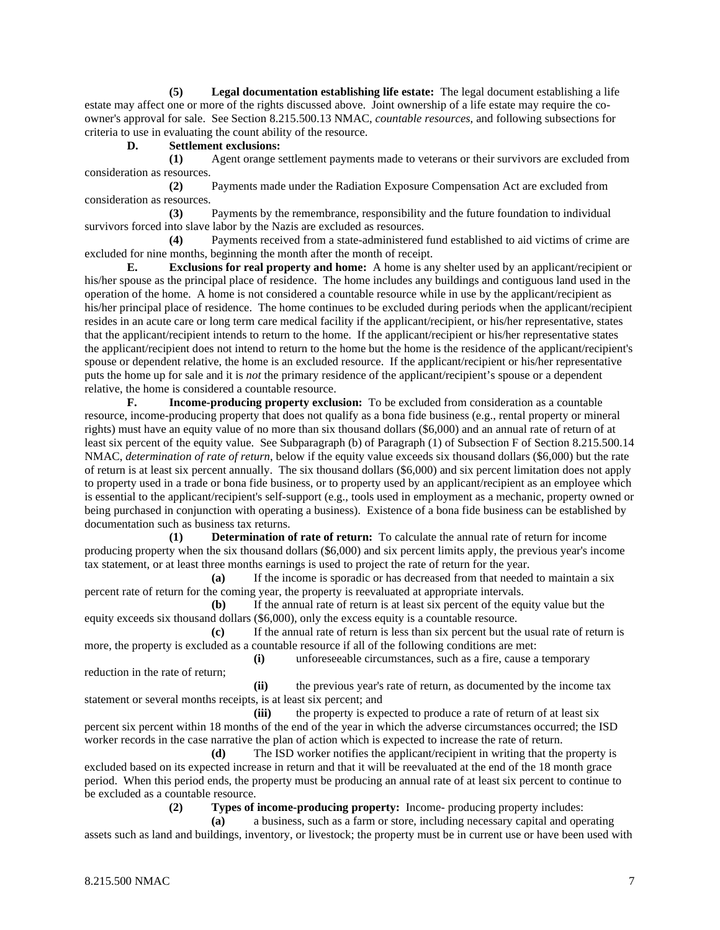**(5) Legal documentation establishing life estate:** The legal document establishing a life estate may affect one or more of the rights discussed above. Joint ownership of a life estate may require the coowner's approval for sale. See Section 8.215.500.13 NMAC, *countable resources*, and following subsections for criteria to use in evaluating the count ability of the resource.

#### **D. Settlement exclusions:**

**(1)** Agent orange settlement payments made to veterans or their survivors are excluded from consideration as resources.

**(2)** Payments made under the Radiation Exposure Compensation Act are excluded from consideration as resources.

**(3)** Payments by the remembrance, responsibility and the future foundation to individual survivors forced into slave labor by the Nazis are excluded as resources.

**(4)** Payments received from a state-administered fund established to aid victims of crime are excluded for nine months, beginning the month after the month of receipt.

**E. Exclusions for real property and home:** A home is any shelter used by an applicant/recipient or his/her spouse as the principal place of residence. The home includes any buildings and contiguous land used in the operation of the home. A home is not considered a countable resource while in use by the applicant/recipient as his/her principal place of residence. The home continues to be excluded during periods when the applicant/recipient resides in an acute care or long term care medical facility if the applicant/recipient, or his/her representative, states that the applicant/recipient intends to return to the home. If the applicant/recipient or his/her representative states the applicant/recipient does not intend to return to the home but the home is the residence of the applicant/recipient's spouse or dependent relative, the home is an excluded resource. If the applicant/recipient or his/her representative puts the home up for sale and it is *not* the primary residence of the applicant/recipient's spouse or a dependent relative, the home is considered a countable resource.

**F. Income-producing property exclusion:** To be excluded from consideration as a countable resource, income-producing property that does not qualify as a bona fide business (e.g., rental property or mineral rights) must have an equity value of no more than six thousand dollars (\$6,000) and an annual rate of return of at least six percent of the equity value. See Subparagraph (b) of Paragraph (1) of Subsection F of Section 8.215.500.14 NMAC, *determination of rate of return*, below if the equity value exceeds six thousand dollars (\$6,000) but the rate of return is at least six percent annually. The six thousand dollars (\$6,000) and six percent limitation does not apply to property used in a trade or bona fide business, or to property used by an applicant/recipient as an employee which is essential to the applicant/recipient's self-support (e.g., tools used in employment as a mechanic, property owned or being purchased in conjunction with operating a business). Existence of a bona fide business can be established by documentation such as business tax returns.

**(1) Determination of rate of return:** To calculate the annual rate of return for income producing property when the six thousand dollars (\$6,000) and six percent limits apply, the previous year's income tax statement, or at least three months earnings is used to project the rate of return for the year.

**(a)** If the income is sporadic or has decreased from that needed to maintain a six percent rate of return for the coming year, the property is reevaluated at appropriate intervals.

**(b)** If the annual rate of return is at least six percent of the equity value but the equity exceeds six thousand dollars (\$6,000), only the excess equity is a countable resource.

**(c)** If the annual rate of return is less than six percent but the usual rate of return is more, the property is excluded as a countable resource if all of the following conditions are met:

**(i)** unforeseeable circumstances, such as a fire, cause a temporary reduction in the rate of return;

**(ii)** the previous year's rate of return, as documented by the income tax statement or several months receipts, is at least six percent; and

**(iii)** the property is expected to produce a rate of return of at least six percent six percent within 18 months of the end of the year in which the adverse circumstances occurred; the ISD worker records in the case narrative the plan of action which is expected to increase the rate of return.

**(d)** The ISD worker notifies the applicant/recipient in writing that the property is excluded based on its expected increase in return and that it will be reevaluated at the end of the 18 month grace period. When this period ends, the property must be producing an annual rate of at least six percent to continue to be excluded as a countable resource.

**(2) Types of income-producing property:** Income- producing property includes:

**(a)** a business, such as a farm or store, including necessary capital and operating assets such as land and buildings, inventory, or livestock; the property must be in current use or have been used with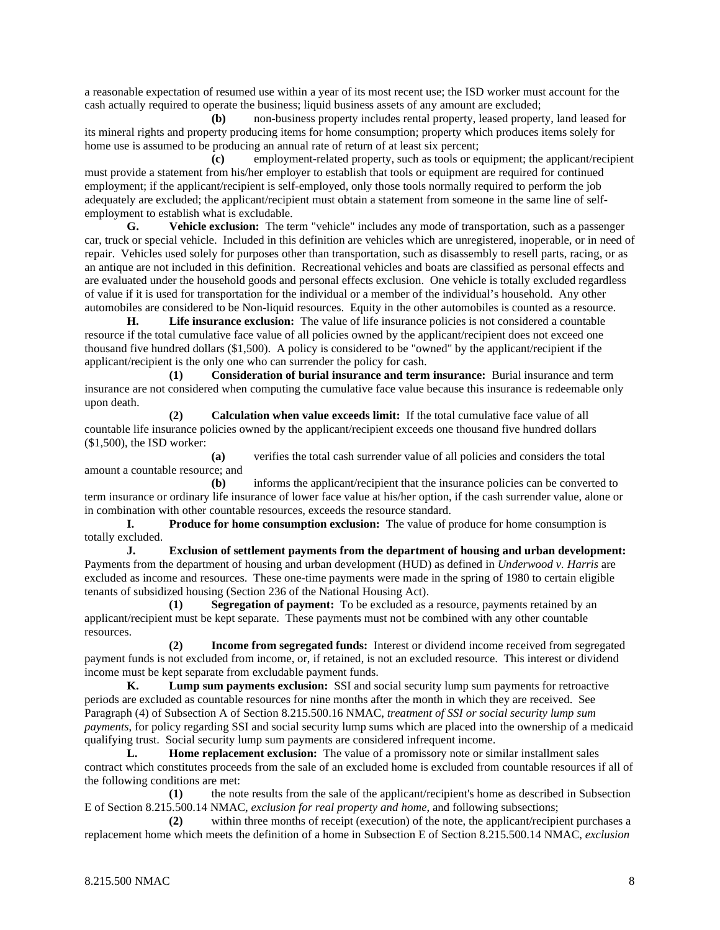a reasonable expectation of resumed use within a year of its most recent use; the ISD worker must account for the cash actually required to operate the business; liquid business assets of any amount are excluded;

**(b)** non-business property includes rental property, leased property, land leased for its mineral rights and property producing items for home consumption; property which produces items solely for home use is assumed to be producing an annual rate of return of at least six percent;

**(c)** employment-related property, such as tools or equipment; the applicant/recipient must provide a statement from his/her employer to establish that tools or equipment are required for continued employment; if the applicant/recipient is self-employed, only those tools normally required to perform the job adequately are excluded; the applicant/recipient must obtain a statement from someone in the same line of selfemployment to establish what is excludable.

**G. Vehicle exclusion:** The term "vehicle" includes any mode of transportation, such as a passenger car, truck or special vehicle. Included in this definition are vehicles which are unregistered, inoperable, or in need of repair. Vehicles used solely for purposes other than transportation, such as disassembly to resell parts, racing, or as an antique are not included in this definition. Recreational vehicles and boats are classified as personal effects and are evaluated under the household goods and personal effects exclusion. One vehicle is totally excluded regardless of value if it is used for transportation for the individual or a member of the individual's household. Any other automobiles are considered to be Non-liquid resources. Equity in the other automobiles is counted as a resource.

**H. Life insurance exclusion:** The value of life insurance policies is not considered a countable resource if the total cumulative face value of all policies owned by the applicant/recipient does not exceed one thousand five hundred dollars (\$1,500). A policy is considered to be "owned" by the applicant/recipient if the applicant/recipient is the only one who can surrender the policy for cash.

**(1) Consideration of burial insurance and term insurance:** Burial insurance and term insurance are not considered when computing the cumulative face value because this insurance is redeemable only upon death.

**(2) Calculation when value exceeds limit:** If the total cumulative face value of all countable life insurance policies owned by the applicant/recipient exceeds one thousand five hundred dollars (\$1,500), the ISD worker:

**(a)** verifies the total cash surrender value of all policies and considers the total amount a countable resource; and

**(b)** informs the applicant/recipient that the insurance policies can be converted to term insurance or ordinary life insurance of lower face value at his/her option, if the cash surrender value, alone or in combination with other countable resources, exceeds the resource standard.

**I. Produce for home consumption exclusion:** The value of produce for home consumption is totally excluded.

**J. Exclusion of settlement payments from the department of housing and urban development:** Payments from the department of housing and urban development (HUD) as defined in *Underwood v. Harris* are excluded as income and resources. These one-time payments were made in the spring of 1980 to certain eligible tenants of subsidized housing (Section 236 of the National Housing Act).

**(1) Segregation of payment:** To be excluded as a resource, payments retained by an applicant/recipient must be kept separate. These payments must not be combined with any other countable resources.

**(2) Income from segregated funds:** Interest or dividend income received from segregated payment funds is not excluded from income, or, if retained, is not an excluded resource. This interest or dividend income must be kept separate from excludable payment funds.

**K. Lump sum payments exclusion:** SSI and social security lump sum payments for retroactive periods are excluded as countable resources for nine months after the month in which they are received. See Paragraph (4) of Subsection A of Section 8.215.500.16 NMAC, *treatment of SSI or social security lump sum payments*, for policy regarding SSI and social security lump sums which are placed into the ownership of a medicaid qualifying trust. Social security lump sum payments are considered infrequent income.

**L. Home replacement exclusion:** The value of a promissory note or similar installment sales contract which constitutes proceeds from the sale of an excluded home is excluded from countable resources if all of the following conditions are met:

**(1)** the note results from the sale of the applicant/recipient's home as described in Subsection E of Section 8.215.500.14 NMAC, *exclusion for real property and home*, and following subsections;

**(2)** within three months of receipt (execution) of the note, the applicant/recipient purchases a replacement home which meets the definition of a home in Subsection E of Section 8.215.500.14 NMAC, *exclusion*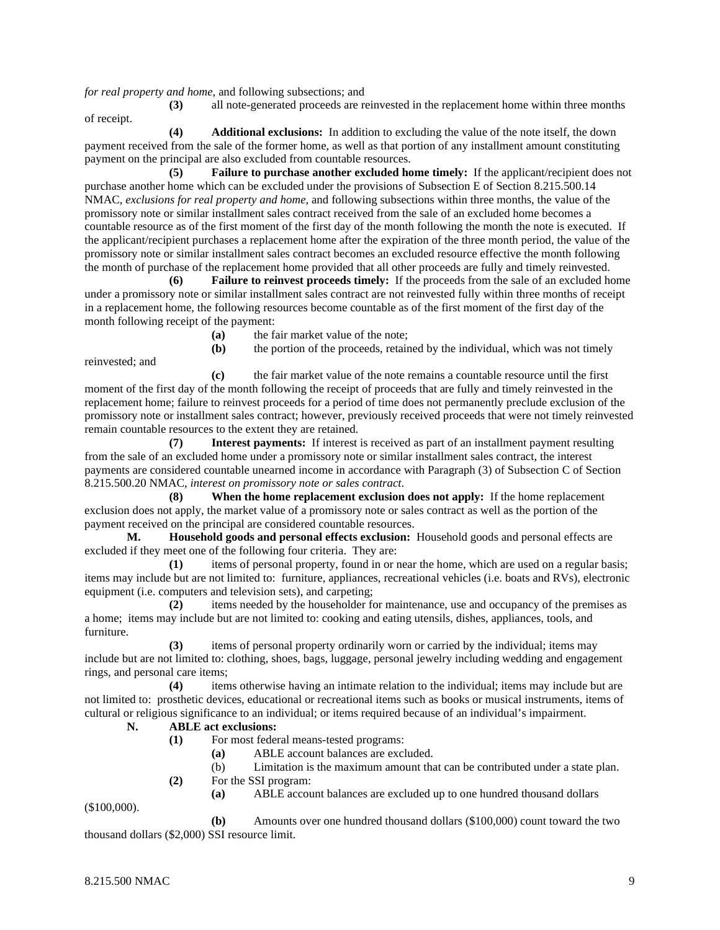*for real property and home*, and following subsections; and

**(3)** all note-generated proceeds are reinvested in the replacement home within three months of receipt.

**(4) Additional exclusions:** In addition to excluding the value of the note itself, the down payment received from the sale of the former home, as well as that portion of any installment amount constituting payment on the principal are also excluded from countable resources.

**(5) Failure to purchase another excluded home timely:** If the applicant/recipient does not purchase another home which can be excluded under the provisions of Subsection E of Section 8.215.500.14 NMAC, *exclusions for real property and home*, and following subsections within three months, the value of the promissory note or similar installment sales contract received from the sale of an excluded home becomes a countable resource as of the first moment of the first day of the month following the month the note is executed. If the applicant/recipient purchases a replacement home after the expiration of the three month period, the value of the promissory note or similar installment sales contract becomes an excluded resource effective the month following the month of purchase of the replacement home provided that all other proceeds are fully and timely reinvested.

Failure to reinvest proceeds timely: If the proceeds from the sale of an excluded home under a promissory note or similar installment sales contract are not reinvested fully within three months of receipt in a replacement home, the following resources become countable as of the first moment of the first day of the month following receipt of the payment:

**(a)** the fair market value of the note;

reinvested; and

**(b)** the portion of the proceeds, retained by the individual, which was not timely

**(c)** the fair market value of the note remains a countable resource until the first moment of the first day of the month following the receipt of proceeds that are fully and timely reinvested in the replacement home; failure to reinvest proceeds for a period of time does not permanently preclude exclusion of the promissory note or installment sales contract; however, previously received proceeds that were not timely reinvested remain countable resources to the extent they are retained.

**(7) Interest payments:** If interest is received as part of an installment payment resulting from the sale of an excluded home under a promissory note or similar installment sales contract, the interest payments are considered countable unearned income in accordance with Paragraph (3) of Subsection C of Section 8.215.500.20 NMAC, *interest on promissory note or sales contract*.

**(8) When the home replacement exclusion does not apply:** If the home replacement exclusion does not apply, the market value of a promissory note or sales contract as well as the portion of the payment received on the principal are considered countable resources.

**M. Household goods and personal effects exclusion:** Household goods and personal effects are excluded if they meet one of the following four criteria. They are:

**(1)** items of personal property, found in or near the home, which are used on a regular basis; items may include but are not limited to: furniture, appliances, recreational vehicles (i.e. boats and RVs), electronic equipment (i.e. computers and television sets), and carpeting;

**(2)** items needed by the householder for maintenance, use and occupancy of the premises as a home; items may include but are not limited to: cooking and eating utensils, dishes, appliances, tools, and furniture.

**(3)** items of personal property ordinarily worn or carried by the individual; items may include but are not limited to: clothing, shoes, bags, luggage, personal jewelry including wedding and engagement rings, and personal care items;

**(4)** items otherwise having an intimate relation to the individual; items may include but are not limited to: prosthetic devices, educational or recreational items such as books or musical instruments, items of cultural or religious significance to an individual; or items required because of an individual's impairment.

#### **N. ABLE act exclusions:**

- **(1)** For most federal means-tested programs:
	- **(a)** ABLE account balances are excluded.
	- (b) Limitation is the maximum amount that can be contributed under a state plan.
	- **(2)** For the SSI program:
		- **(a)** ABLE account balances are excluded up to one hundred thousand dollars

(\$100,000).

**(b)** Amounts over one hundred thousand dollars (\$100,000) count toward the two thousand dollars (\$2,000) SSI resource limit.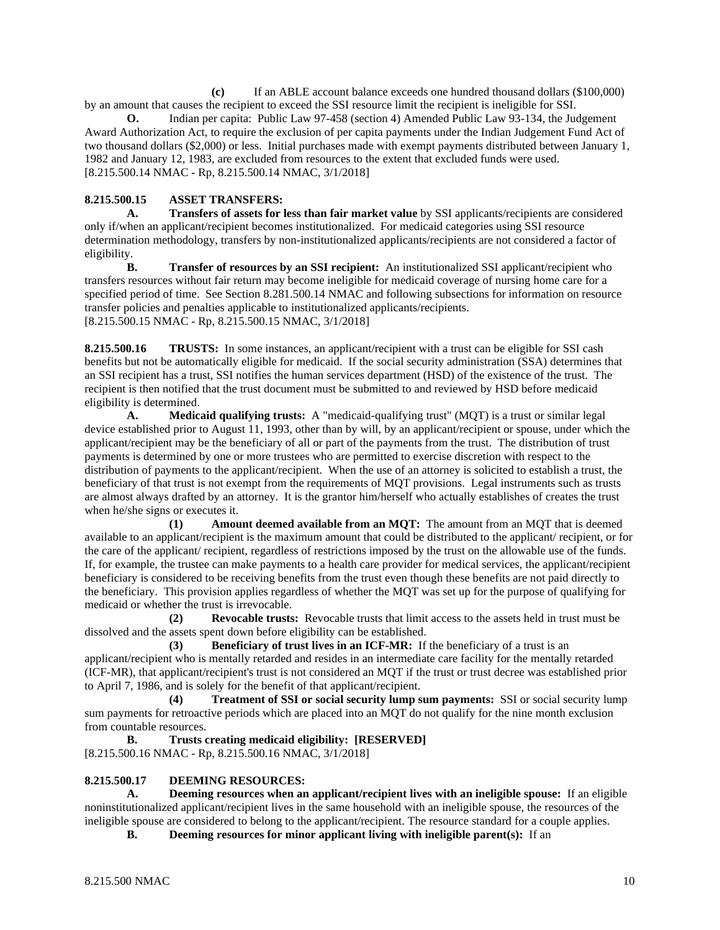**(c)** If an ABLE account balance exceeds one hundred thousand dollars (\$100,000) by an amount that causes the recipient to exceed the SSI resource limit the recipient is ineligible for SSI.

**O.** Indian per capita: Public Law 97-458 (section 4) Amended Public Law 93-134, the Judgement Award Authorization Act, to require the exclusion of per capita payments under the Indian Judgement Fund Act of two thousand dollars (\$2,000) or less. Initial purchases made with exempt payments distributed between January 1, 1982 and January 12, 1983, are excluded from resources to the extent that excluded funds were used. [8.215.500.14 NMAC - Rp, 8.215.500.14 NMAC, 3/1/2018]

#### **8.215.500.15 ASSET TRANSFERS:**

**A. Transfers of assets for less than fair market value** by SSI applicants/recipients are considered only if/when an applicant/recipient becomes institutionalized. For medicaid categories using SSI resource determination methodology, transfers by non-institutionalized applicants/recipients are not considered a factor of eligibility.

**B. Transfer of resources by an SSI recipient:** An institutionalized SSI applicant/recipient who transfers resources without fair return may become ineligible for medicaid coverage of nursing home care for a specified period of time. See Section 8.281.500.14 NMAC and following subsections for information on resource transfer policies and penalties applicable to institutionalized applicants/recipients. [8.215.500.15 NMAC - Rp, 8.215.500.15 NMAC, 3/1/2018]

**8.215.500.16 TRUSTS:** In some instances, an applicant/recipient with a trust can be eligible for SSI cash benefits but not be automatically eligible for medicaid. If the social security administration (SSA) determines that an SSI recipient has a trust, SSI notifies the human services department (HSD) of the existence of the trust. The recipient is then notified that the trust document must be submitted to and reviewed by HSD before medicaid eligibility is determined.

**A. Medicaid qualifying trusts:** A "medicaid-qualifying trust" (MQT) is a trust or similar legal device established prior to August 11, 1993, other than by will, by an applicant/recipient or spouse, under which the applicant/recipient may be the beneficiary of all or part of the payments from the trust. The distribution of trust payments is determined by one or more trustees who are permitted to exercise discretion with respect to the distribution of payments to the applicant/recipient. When the use of an attorney is solicited to establish a trust, the beneficiary of that trust is not exempt from the requirements of MQT provisions. Legal instruments such as trusts are almost always drafted by an attorney. It is the grantor him/herself who actually establishes of creates the trust when he/she signs or executes it.

**(1) Amount deemed available from an MQT:** The amount from an MQT that is deemed available to an applicant/recipient is the maximum amount that could be distributed to the applicant/ recipient, or for the care of the applicant/ recipient, regardless of restrictions imposed by the trust on the allowable use of the funds. If, for example, the trustee can make payments to a health care provider for medical services, the applicant/recipient beneficiary is considered to be receiving benefits from the trust even though these benefits are not paid directly to the beneficiary. This provision applies regardless of whether the MQT was set up for the purpose of qualifying for medicaid or whether the trust is irrevocable.

**(2) Revocable trusts:** Revocable trusts that limit access to the assets held in trust must be dissolved and the assets spent down before eligibility can be established.

**(3) Beneficiary of trust lives in an ICF-MR:** If the beneficiary of a trust is an applicant/recipient who is mentally retarded and resides in an intermediate care facility for the mentally retarded (ICF-MR), that applicant/recipient's trust is not considered an MQT if the trust or trust decree was established prior to April 7, 1986, and is solely for the benefit of that applicant/recipient.

**(4) Treatment of SSI or social security lump sum payments:** SSI or social security lump sum payments for retroactive periods which are placed into an MQT do not qualify for the nine month exclusion from countable resources.

**B. Trusts creating medicaid eligibility: [RESERVED]** [8.215.500.16 NMAC - Rp, 8.215.500.16 NMAC, 3/1/2018]

#### **8.215.500.17 DEEMING RESOURCES:**

**A. Deeming resources when an applicant/recipient lives with an ineligible spouse:** If an eligible noninstitutionalized applicant/recipient lives in the same household with an ineligible spouse, the resources of the ineligible spouse are considered to belong to the applicant/recipient. The resource standard for a couple applies.

**B. Deeming resources for minor applicant living with ineligible parent(s):** If an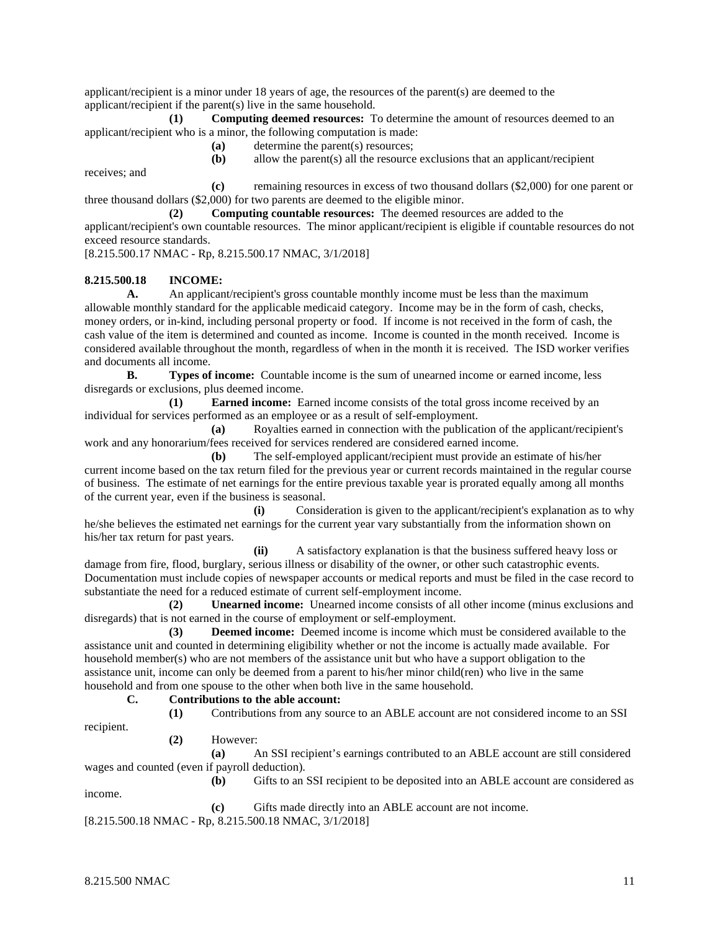applicant/recipient is a minor under 18 years of age, the resources of the parent(s) are deemed to the applicant/recipient if the parent(s) live in the same household.

**(1) Computing deemed resources:** To determine the amount of resources deemed to an applicant/recipient who is a minor, the following computation is made:

**(a)** determine the parent(s) resources;

**(b)** allow the parent(s) all the resource exclusions that an applicant/recipient

**(c)** remaining resources in excess of two thousand dollars (\$2,000) for one parent or three thousand dollars (\$2,000) for two parents are deemed to the eligible minor.<br>(2) Computing countable resources: The deemed resources

**(2) Computing countable resources:** The deemed resources are added to the applicant/recipient's own countable resources. The minor applicant/recipient is eligible if countable resources do not exceed resource standards.

[8.215.500.17 NMAC - Rp, 8.215.500.17 NMAC, 3/1/2018]

## **8.215.500.18 INCOME:**

receives; and

**A.** An applicant/recipient's gross countable monthly income must be less than the maximum allowable monthly standard for the applicable medicaid category. Income may be in the form of cash, checks, money orders, or in-kind, including personal property or food. If income is not received in the form of cash, the cash value of the item is determined and counted as income. Income is counted in the month received. Income is considered available throughout the month, regardless of when in the month it is received. The ISD worker verifies and documents all income.

**B. Types of income:** Countable income is the sum of unearned income or earned income, less disregards or exclusions, plus deemed income.

**(1) Earned income:** Earned income consists of the total gross income received by an individual for services performed as an employee or as a result of self-employment.

**(a)** Royalties earned in connection with the publication of the applicant/recipient's work and any honorarium/fees received for services rendered are considered earned income.

**(b)** The self-employed applicant/recipient must provide an estimate of his/her current income based on the tax return filed for the previous year or current records maintained in the regular course of business. The estimate of net earnings for the entire previous taxable year is prorated equally among all months of the current year, even if the business is seasonal.

**(i)** Consideration is given to the applicant/recipient's explanation as to why he/she believes the estimated net earnings for the current year vary substantially from the information shown on his/her tax return for past years.

**(ii)** A satisfactory explanation is that the business suffered heavy loss or damage from fire, flood, burglary, serious illness or disability of the owner, or other such catastrophic events. Documentation must include copies of newspaper accounts or medical reports and must be filed in the case record to substantiate the need for a reduced estimate of current self-employment income.

**(2) Unearned income:** Unearned income consists of all other income (minus exclusions and disregards) that is not earned in the course of employment or self-employment.

**(3) Deemed income:** Deemed income is income which must be considered available to the assistance unit and counted in determining eligibility whether or not the income is actually made available. For household member(s) who are not members of the assistance unit but who have a support obligation to the assistance unit, income can only be deemed from a parent to his/her minor child(ren) who live in the same household and from one spouse to the other when both live in the same household.

## **C. Contributions to the able account:**

**(1)** Contributions from any source to an ABLE account are not considered income to an SSI

recipient.

**(2)** However:

**(a)** An SSI recipient's earnings contributed to an ABLE account are still considered wages and counted (even if payroll deduction).

**(b)** Gifts to an SSI recipient to be deposited into an ABLE account are considered as

income.

**(c)** Gifts made directly into an ABLE account are not income.

[8.215.500.18 NMAC - Rp, 8.215.500.18 NMAC, 3/1/2018]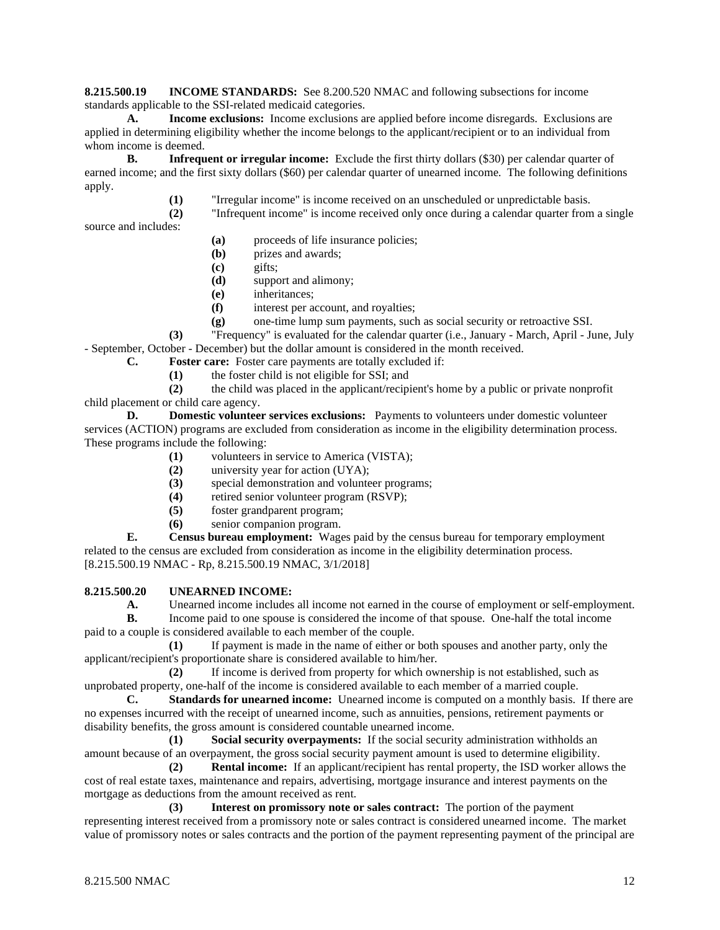**8.215.500.19 INCOME STANDARDS:** See 8.200.520 NMAC and following subsections for income standards applicable to the SSI-related medicaid categories.

**A. Income exclusions:** Income exclusions are applied before income disregards. Exclusions are applied in determining eligibility whether the income belongs to the applicant/recipient or to an individual from whom income is deemed.

**B. Infrequent or irregular income:** Exclude the first thirty dollars (\$30) per calendar quarter of earned income; and the first sixty dollars (\$60) per calendar quarter of unearned income. The following definitions apply.

**(1)** "Irregular income" is income received on an unscheduled or unpredictable basis.

**(2)** "Infrequent income" is income received only once during a calendar quarter from a single

source and includes:

- **(a)** proceeds of life insurance policies;
- **(b)** prizes and awards;
- **(c)** gifts;
- **(d)** support and alimony;
- **(e)** inheritances;
- **(f)** interest per account, and royalties;
- **(g)** one-time lump sum payments, such as social security or retroactive SSI.

**(3)** "Frequency" is evaluated for the calendar quarter (i.e., January - March, April - June, July - September, October - December) but the dollar amount is considered in the month received.

**C. Foster care:** Foster care payments are totally excluded if:

**(1)** the foster child is not eligible for SSI; and

**(2)** the child was placed in the applicant/recipient's home by a public or private nonprofit child placement or child care agency.

**D. Domestic volunteer services exclusions:** Payments to volunteers under domestic volunteer services (ACTION) programs are excluded from consideration as income in the eligibility determination process. These programs include the following:

- **(1)** volunteers in service to America (VISTA);
- **(2)** university year for action (UYA);
- **(3)** special demonstration and volunteer programs;
- **(4)** retired senior volunteer program (RSVP);
- **(5)** foster grandparent program;
- **(6)** senior companion program.

**E. Census bureau employment:** Wages paid by the census bureau for temporary employment related to the census are excluded from consideration as income in the eligibility determination process. [8.215.500.19 NMAC - Rp, 8.215.500.19 NMAC, 3/1/2018]

## **8.215.500.20 UNEARNED INCOME:**

**A.** Unearned income includes all income not earned in the course of employment or self-employment.<br>**B.** Income paid to one spouse is considered the income of that spouse. One-half the total income **B.** Income paid to one spouse is considered the income of that spouse. One-half the total income paid to a couple is considered available to each member of the couple.

**(1)** If payment is made in the name of either or both spouses and another party, only the applicant/recipient's proportionate share is considered available to him/her.

**(2)** If income is derived from property for which ownership is not established, such as unprobated property, one-half of the income is considered available to each member of a married couple.

**C. Standards for unearned income:** Unearned income is computed on a monthly basis. If there are no expenses incurred with the receipt of unearned income, such as annuities, pensions, retirement payments or disability benefits, the gross amount is considered countable unearned income.

**(1) Social security overpayments:** If the social security administration withholds an amount because of an overpayment, the gross social security payment amount is used to determine eligibility.

**(2) Rental income:** If an applicant/recipient has rental property, the ISD worker allows the cost of real estate taxes, maintenance and repairs, advertising, mortgage insurance and interest payments on the mortgage as deductions from the amount received as rent.

**(3) Interest on promissory note or sales contract:** The portion of the payment representing interest received from a promissory note or sales contract is considered unearned income. The market value of promissory notes or sales contracts and the portion of the payment representing payment of the principal are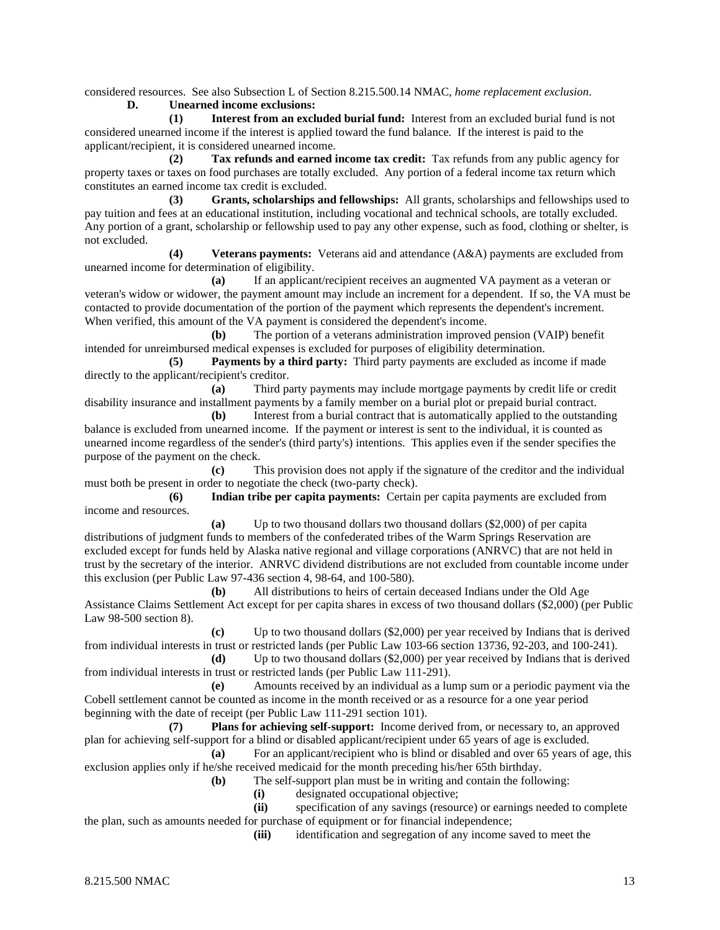considered resources. See also Subsection L of Section 8.215.500.14 NMAC, *home replacement exclusion*.

**D. Unearned income exclusions:**

**(1) Interest from an excluded burial fund:** Interest from an excluded burial fund is not considered unearned income if the interest is applied toward the fund balance. If the interest is paid to the applicant/recipient, it is considered unearned income.

**(2) Tax refunds and earned income tax credit:** Tax refunds from any public agency for property taxes or taxes on food purchases are totally excluded. Any portion of a federal income tax return which constitutes an earned income tax credit is excluded.

**(3) Grants, scholarships and fellowships:** All grants, scholarships and fellowships used to pay tuition and fees at an educational institution, including vocational and technical schools, are totally excluded. Any portion of a grant, scholarship or fellowship used to pay any other expense, such as food, clothing or shelter, is not excluded.

**(4) Veterans payments:** Veterans aid and attendance (A&A) payments are excluded from unearned income for determination of eligibility.

**(a)** If an applicant/recipient receives an augmented VA payment as a veteran or veteran's widow or widower, the payment amount may include an increment for a dependent. If so, the VA must be contacted to provide documentation of the portion of the payment which represents the dependent's increment. When verified, this amount of the VA payment is considered the dependent's income.

**(b)** The portion of a veterans administration improved pension (VAIP) benefit intended for unreimbursed medical expenses is excluded for purposes of eligibility determination.

**(5) Payments by a third party:** Third party payments are excluded as income if made directly to the applicant/recipient's creditor.

**(a)** Third party payments may include mortgage payments by credit life or credit disability insurance and installment payments by a family member on a burial plot or prepaid burial contract.

**(b)** Interest from a burial contract that is automatically applied to the outstanding balance is excluded from unearned income. If the payment or interest is sent to the individual, it is counted as unearned income regardless of the sender's (third party's) intentions. This applies even if the sender specifies the purpose of the payment on the check.

**(c)** This provision does not apply if the signature of the creditor and the individual must both be present in order to negotiate the check (two-party check).

**(6) Indian tribe per capita payments:** Certain per capita payments are excluded from income and resources.

**(a)** Up to two thousand dollars two thousand dollars (\$2,000) of per capita distributions of judgment funds to members of the confederated tribes of the Warm Springs Reservation are excluded except for funds held by Alaska native regional and village corporations (ANRVC) that are not held in trust by the secretary of the interior. ANRVC dividend distributions are not excluded from countable income under this exclusion (per Public Law 97-436 section 4, 98-64, and 100-580).

**(b)** All distributions to heirs of certain deceased Indians under the Old Age Assistance Claims Settlement Act except for per capita shares in excess of two thousand dollars (\$2,000) (per Public Law 98-500 section 8).

**(c)** Up to two thousand dollars (\$2,000) per year received by Indians that is derived from individual interests in trust or restricted lands (per Public Law 103-66 section 13736, 92-203, and 100-241).

**(d)** Up to two thousand dollars (\$2,000) per year received by Indians that is derived from individual interests in trust or restricted lands (per Public Law 111-291).

**(e)** Amounts received by an individual as a lump sum or a periodic payment via the Cobell settlement cannot be counted as income in the month received or as a resource for a one year period beginning with the date of receipt (per Public Law 111-291 section 101).

**(7) Plans for achieving self-support:** Income derived from, or necessary to, an approved plan for achieving self-support for a blind or disabled applicant/recipient under 65 years of age is excluded.

**(a)** For an applicant/recipient who is blind or disabled and over 65 years of age, this exclusion applies only if he/she received medicaid for the month preceding his/her 65th birthday.

**(b)** The self-support plan must be in writing and contain the following:

(i) designated occupational objective;<br>(ii) specification of any savings (resour

specification of any savings (resource) or earnings needed to complete the plan, such as amounts needed for purchase of equipment or for financial independence;

**(iii)** identification and segregation of any income saved to meet the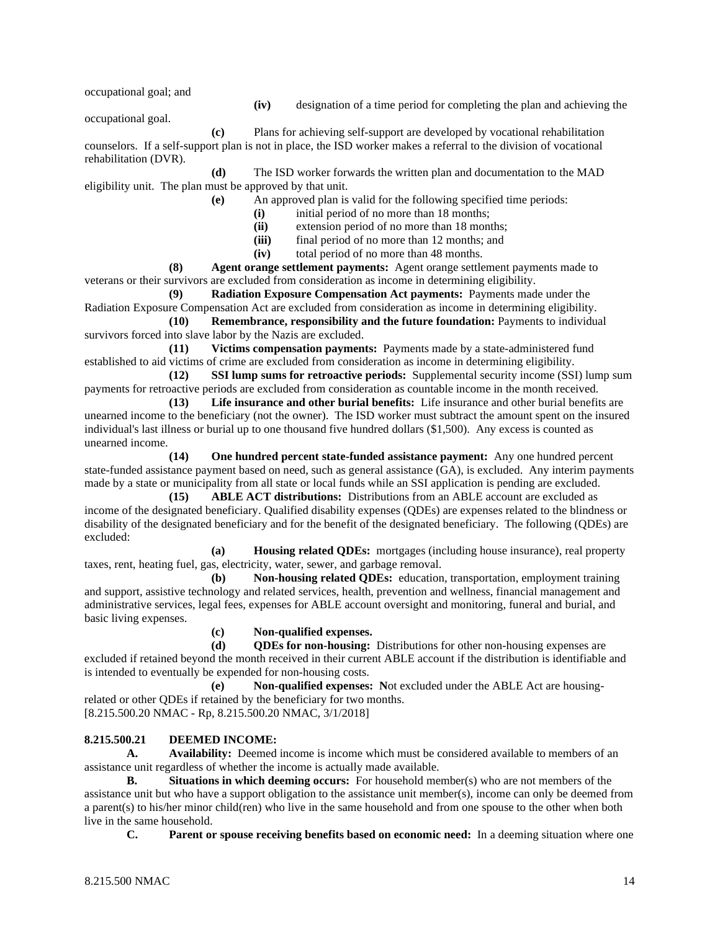occupational goal; and

**(iv)** designation of a time period for completing the plan and achieving the

occupational goal.

**(c)** Plans for achieving self-support are developed by vocational rehabilitation counselors. If a self-support plan is not in place, the ISD worker makes a referral to the division of vocational rehabilitation (DVR).

**(d)** The ISD worker forwards the written plan and documentation to the MAD eligibility unit. The plan must be approved by that unit.

**(e)** An approved plan is valid for the following specified time periods:

- **(i)** initial period of no more than 18 months;
- **(ii)** extension period of no more than 18 months;
- **(iii)** final period of no more than 12 months; and
- **(iv)** total period of no more than 48 months.

**(8) Agent orange settlement payments:** Agent orange settlement payments made to veterans or their survivors are excluded from consideration as income in determining eligibility.

**(9) Radiation Exposure Compensation Act payments:** Payments made under the Radiation Exposure Compensation Act are excluded from consideration as income in determining eligibility.

**(10) Remembrance, responsibility and the future foundation:** Payments to individual survivors forced into slave labor by the Nazis are excluded.

**(11) Victims compensation payments:** Payments made by a state-administered fund established to aid victims of crime are excluded from consideration as income in determining eligibility.

**(12) SSI lump sums for retroactive periods:** Supplemental security income (SSI) lump sum payments for retroactive periods are excluded from consideration as countable income in the month received.

**(13) Life insurance and other burial benefits:** Life insurance and other burial benefits are unearned income to the beneficiary (not the owner). The ISD worker must subtract the amount spent on the insured individual's last illness or burial up to one thousand five hundred dollars (\$1,500). Any excess is counted as unearned income.

**(14) One hundred percent state-funded assistance payment:** Any one hundred percent state-funded assistance payment based on need, such as general assistance (GA), is excluded. Any interim payments made by a state or municipality from all state or local funds while an SSI application is pending are excluded.

**(15) ABLE ACT distributions:** Distributions from an ABLE account are excluded as income of the designated beneficiary. Qualified disability expenses (QDEs) are expenses related to the blindness or disability of the designated beneficiary and for the benefit of the designated beneficiary. The following (QDEs) are excluded:

**(a) Housing related QDEs:** mortgages (including house insurance), real property taxes, rent, heating fuel, gas, electricity, water, sewer, and garbage removal.

**(b) Non-housing related QDEs:** education, transportation, employment training and support, assistive technology and related services, health, prevention and wellness, financial management and administrative services, legal fees, expenses for ABLE account oversight and monitoring, funeral and burial, and basic living expenses.

**(c) Non-qualified expenses.**

**(d) QDEs for non-housing:** Distributions for other non-housing expenses are excluded if retained beyond the month received in their current ABLE account if the distribution is identifiable and is intended to eventually be expended for non-housing costs.

**(e) Non-qualified expenses: N**ot excluded under the ABLE Act are housingrelated or other QDEs if retained by the beneficiary for two months. [8.215.500.20 NMAC - Rp, 8.215.500.20 NMAC, 3/1/2018]

## **8.215.500.21 DEEMED INCOME:**

**A. Availability:** Deemed income is income which must be considered available to members of an assistance unit regardless of whether the income is actually made available.

**B. Situations in which deeming occurs:** For household member(s) who are not members of the assistance unit but who have a support obligation to the assistance unit member(s), income can only be deemed from a parent(s) to his/her minor child(ren) who live in the same household and from one spouse to the other when both live in the same household.

**C. Parent or spouse receiving benefits based on economic need:** In a deeming situation where one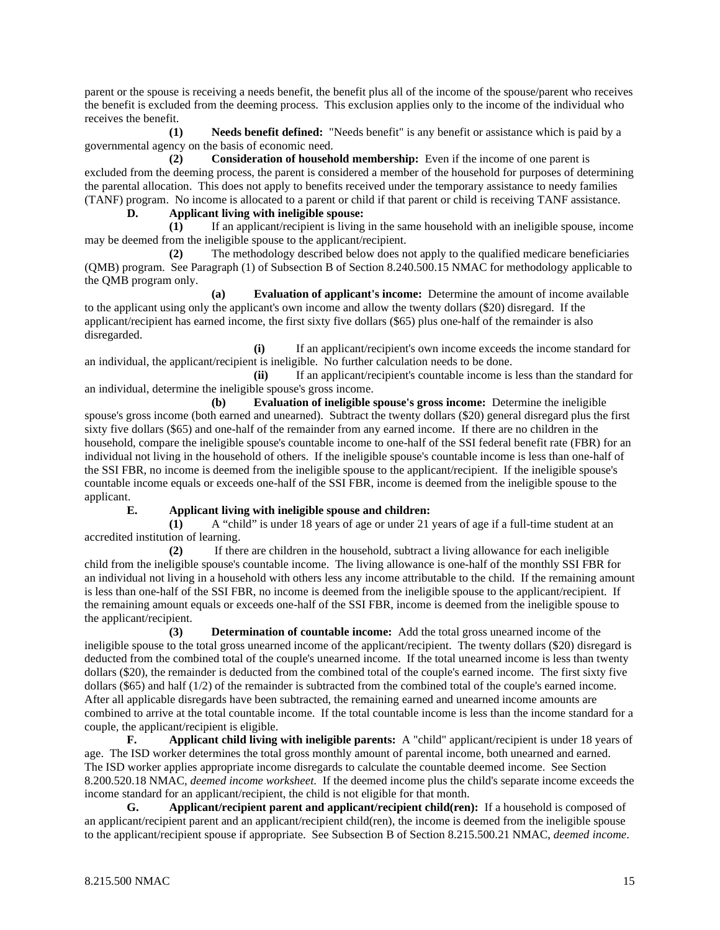parent or the spouse is receiving a needs benefit, the benefit plus all of the income of the spouse/parent who receives the benefit is excluded from the deeming process. This exclusion applies only to the income of the individual who receives the benefit.

**(1) Needs benefit defined:** "Needs benefit" is any benefit or assistance which is paid by a governmental agency on the basis of economic need.

**(2) Consideration of household membership:** Even if the income of one parent is excluded from the deeming process, the parent is considered a member of the household for purposes of determining the parental allocation. This does not apply to benefits received under the temporary assistance to needy families (TANF) program. No income is allocated to a parent or child if that parent or child is receiving TANF assistance.<br> **D.** Applicant living with ineligible spouse:

# **D. Applicant living with ineligible spouse:**

**(1)** If an applicant/recipient is living in the same household with an ineligible spouse, income may be deemed from the ineligible spouse to the applicant/recipient.

**(2)** The methodology described below does not apply to the qualified medicare beneficiaries (QMB) program. See Paragraph (1) of Subsection B of Section 8.240.500.15 NMAC for methodology applicable to the QMB program only.

**(a) Evaluation of applicant's income:** Determine the amount of income available to the applicant using only the applicant's own income and allow the twenty dollars (\$20) disregard. If the applicant/recipient has earned income, the first sixty five dollars (\$65) plus one-half of the remainder is also disregarded.

**(i)** If an applicant/recipient's own income exceeds the income standard for an individual, the applicant/recipient is ineligible. No further calculation needs to be done.

**(ii)** If an applicant/recipient's countable income is less than the standard for an individual, determine the ineligible spouse's gross income.

**(b) Evaluation of ineligible spouse's gross income:** Determine the ineligible spouse's gross income (both earned and unearned). Subtract the twenty dollars (\$20) general disregard plus the first sixty five dollars (\$65) and one-half of the remainder from any earned income. If there are no children in the household, compare the ineligible spouse's countable income to one-half of the SSI federal benefit rate (FBR) for an individual not living in the household of others. If the ineligible spouse's countable income is less than one-half of the SSI FBR, no income is deemed from the ineligible spouse to the applicant/recipient. If the ineligible spouse's countable income equals or exceeds one-half of the SSI FBR, income is deemed from the ineligible spouse to the applicant.

# **E. Applicant living with ineligible spouse and children:**

**(1)** A "child" is under 18 years of age or under 21 years of age if a full-time student at an accredited institution of learning.

**(2)** If there are children in the household, subtract a living allowance for each ineligible child from the ineligible spouse's countable income. The living allowance is one-half of the monthly SSI FBR for an individual not living in a household with others less any income attributable to the child. If the remaining amount is less than one-half of the SSI FBR, no income is deemed from the ineligible spouse to the applicant/recipient. If the remaining amount equals or exceeds one-half of the SSI FBR, income is deemed from the ineligible spouse to the applicant/recipient.

**(3) Determination of countable income:** Add the total gross unearned income of the ineligible spouse to the total gross unearned income of the applicant/recipient. The twenty dollars (\$20) disregard is deducted from the combined total of the couple's unearned income. If the total unearned income is less than twenty dollars (\$20), the remainder is deducted from the combined total of the couple's earned income. The first sixty five dollars (\$65) and half (1/2) of the remainder is subtracted from the combined total of the couple's earned income. After all applicable disregards have been subtracted, the remaining earned and unearned income amounts are combined to arrive at the total countable income. If the total countable income is less than the income standard for a couple, the applicant/recipient is eligible.

**F. Applicant child living with ineligible parents:** A "child" applicant/recipient is under 18 years of age. The ISD worker determines the total gross monthly amount of parental income, both unearned and earned. The ISD worker applies appropriate income disregards to calculate the countable deemed income. See Section 8.200.520.18 NMAC, *deemed income worksheet*. If the deemed income plus the child's separate income exceeds the income standard for an applicant/recipient, the child is not eligible for that month.

**G. Applicant/recipient parent and applicant/recipient child(ren):** If a household is composed of an applicant/recipient parent and an applicant/recipient child(ren), the income is deemed from the ineligible spouse to the applicant/recipient spouse if appropriate. See Subsection B of Section 8.215.500.21 NMAC, *deemed income*.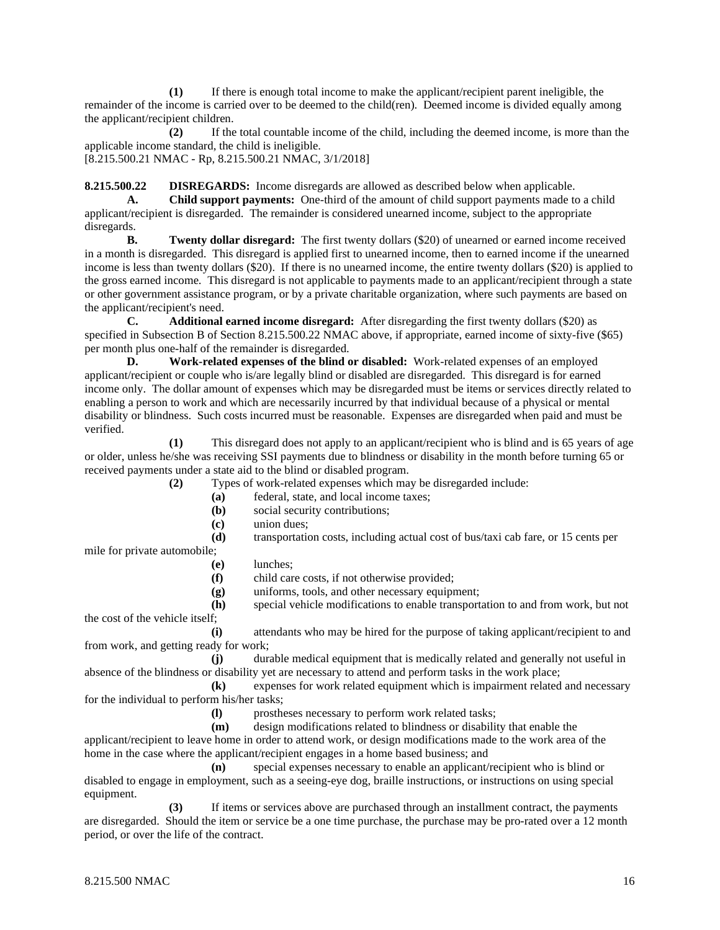**(1)** If there is enough total income to make the applicant/recipient parent ineligible, the remainder of the income is carried over to be deemed to the child(ren). Deemed income is divided equally among the applicant/recipient children.

**(2)** If the total countable income of the child, including the deemed income, is more than the applicable income standard, the child is ineligible.

[8.215.500.21 NMAC - Rp, 8.215.500.21 NMAC, 3/1/2018]

**8.215.500.22 DISREGARDS:** Income disregards are allowed as described below when applicable.

**A. Child support payments:** One-third of the amount of child support payments made to a child applicant/recipient is disregarded. The remainder is considered unearned income, subject to the appropriate disregards.

**B. Twenty dollar disregard:** The first twenty dollars (\$20) of unearned or earned income received in a month is disregarded. This disregard is applied first to unearned income, then to earned income if the unearned income is less than twenty dollars (\$20). If there is no unearned income, the entire twenty dollars (\$20) is applied to the gross earned income. This disregard is not applicable to payments made to an applicant/recipient through a state or other government assistance program, or by a private charitable organization, where such payments are based on the applicant/recipient's need.

**C. Additional earned income disregard:** After disregarding the first twenty dollars (\$20) as specified in Subsection B of Section 8.215.500.22 NMAC above, if appropriate, earned income of sixty-five (\$65) per month plus one-half of the remainder is disregarded.

**D. Work-related expenses of the blind or disabled:** Work-related expenses of an employed applicant/recipient or couple who is/are legally blind or disabled are disregarded. This disregard is for earned income only. The dollar amount of expenses which may be disregarded must be items or services directly related to enabling a person to work and which are necessarily incurred by that individual because of a physical or mental disability or blindness. Such costs incurred must be reasonable. Expenses are disregarded when paid and must be verified.

**(1)** This disregard does not apply to an applicant/recipient who is blind and is 65 years of age or older, unless he/she was receiving SSI payments due to blindness or disability in the month before turning 65 or received payments under a state aid to the blind or disabled program.

**(2)** Types of work-related expenses which may be disregarded include:

**(a)** federal, state, and local income taxes;

- **(b)** social security contributions;
- **(c)** union dues;

**(d)** transportation costs, including actual cost of bus/taxi cab fare, or 15 cents per

mile for private automobile;

**(e)** lunches;

**(f)** child care costs, if not otherwise provided;

**(g)** uniforms, tools, and other necessary equipment;

**(h)** special vehicle modifications to enable transportation to and from work, but not the cost of the vehicle itself;

**(i)** attendants who may be hired for the purpose of taking applicant/recipient to and from work, and getting ready for work;

**(j)** durable medical equipment that is medically related and generally not useful in absence of the blindness or disability yet are necessary to attend and perform tasks in the work place;

**(k)** expenses for work related equipment which is impairment related and necessary for the individual to perform his/her tasks;

**(l)** prostheses necessary to perform work related tasks;

**(m)** design modifications related to blindness or disability that enable the

applicant/recipient to leave home in order to attend work, or design modifications made to the work area of the home in the case where the applicant/recipient engages in a home based business; and

**(n)** special expenses necessary to enable an applicant/recipient who is blind or disabled to engage in employment, such as a seeing-eye dog, braille instructions, or instructions on using special equipment.

**(3)** If items or services above are purchased through an installment contract, the payments are disregarded. Should the item or service be a one time purchase, the purchase may be pro-rated over a 12 month period, or over the life of the contract.